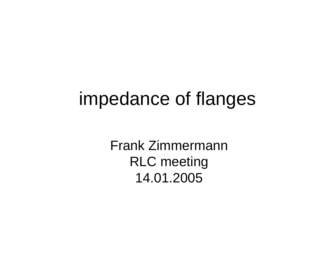## impedance of flanges

Frank ZimmermannRLC meeting 14.01.2005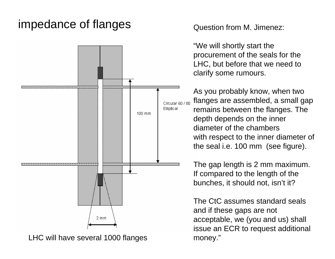## impedance of flanges



LHC will have several 1000 flanges

Question from M. Jimenez:

"We will shortly start the procurement of the seals for the LHC, but before that we need to clarify some rumours.

As you probably know, when two flanges are assembled, a small gap remains between the flanges. The depth depends on the inner diameter of the chambers with respect to the inner diameter of the seal i.e. 100 mm (see figure).

The gap length is 2 mm maximum. If compared to the length of the bunches, it should not, isn't it?

The CtC assumes standard seals and if these gaps are not acceptable, we (you and us) shall issue an ECR to request additional money."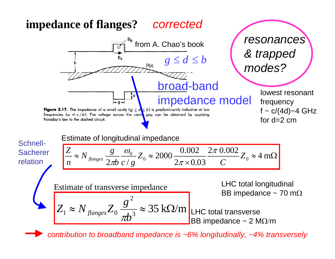## **impedance of flanges?**  *corrected*



*contribution to broadband impedance is ~6% longitudinally, ~4% transversely*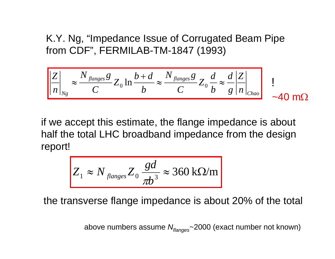K.Y. Ng, "Impedance Issue of Corrugated Beam Pipe from CDF", FERMILAB-TM-1847 (1993)

$$
\left|\frac{Z}{n}\right|_{N_g} \approx \frac{N_{\text{flanges}}g}{C} Z_0 \ln \frac{b+d}{b} \approx \frac{N_{\text{flanges}}g}{C} Z_0 \frac{d}{b} \approx \frac{d}{g} \left|\frac{Z}{n}\right|_{\text{Chao}} \quad \text{1}
$$

if we accept this estimate, the flange impedance is about half the total LHC broadband impedance from the design report!

$$
Z_1 \approx N_{\text{flanges}} Z_0 \frac{gd}{\pi b^3} \approx 360 \text{ k}\Omega/\text{m}
$$

the transverse flange impedance is about 20% of the total

above numbers assume *Nflang es*~2000 (exact number not known)